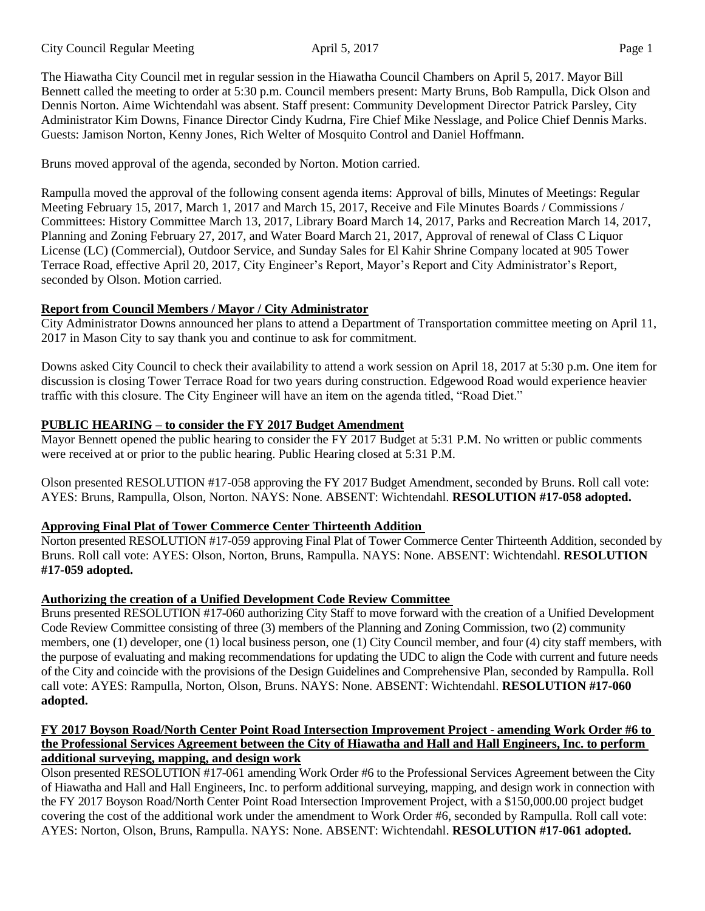The Hiawatha City Council met in regular session in the Hiawatha Council Chambers on April 5, 2017. Mayor Bill Bennett called the meeting to order at 5:30 p.m. Council members present: Marty Bruns, Bob Rampulla, Dick Olson and Dennis Norton. Aime Wichtendahl was absent. Staff present: Community Development Director Patrick Parsley, City Administrator Kim Downs, Finance Director Cindy Kudrna, Fire Chief Mike Nesslage, and Police Chief Dennis Marks. Guests: Jamison Norton, Kenny Jones, Rich Welter of Mosquito Control and Daniel Hoffmann.

Bruns moved approval of the agenda, seconded by Norton. Motion carried.

Rampulla moved the approval of the following consent agenda items: Approval of bills, Minutes of Meetings: Regular Meeting February 15, 2017, March 1, 2017 and March 15, 2017, Receive and File Minutes Boards / Commissions / Committees: History Committee March 13, 2017, Library Board March 14, 2017, Parks and Recreation March 14, 2017, Planning and Zoning February 27, 2017, and Water Board March 21, 2017, Approval of renewal of Class C Liquor License (LC) (Commercial), Outdoor Service, and Sunday Sales for El Kahir Shrine Company located at 905 Tower Terrace Road, effective April 20, 2017, City Engineer's Report, Mayor's Report and City Administrator's Report, seconded by Olson. Motion carried.

# **Report from Council Members / Mayor / City Administrator**

City Administrator Downs announced her plans to attend a Department of Transportation committee meeting on April 11, 2017 in Mason City to say thank you and continue to ask for commitment.

Downs asked City Council to check their availability to attend a work session on April 18, 2017 at 5:30 p.m. One item for discussion is closing Tower Terrace Road for two years during construction. Edgewood Road would experience heavier traffic with this closure. The City Engineer will have an item on the agenda titled, "Road Diet."

# **PUBLIC HEARING – to consider the FY 2017 Budget Amendment**

Mayor Bennett opened the public hearing to consider the FY 2017 Budget at 5:31 P.M. No written or public comments were received at or prior to the public hearing. Public Hearing closed at 5:31 P.M.

Olson presented RESOLUTION #17-058 approving the FY 2017 Budget Amendment, seconded by Bruns. Roll call vote: AYES: Bruns, Rampulla, Olson, Norton. NAYS: None. ABSENT: Wichtendahl. **RESOLUTION #17-058 adopted.**

# **Approving Final Plat of Tower Commerce Center Thirteenth Addition**

Norton presented RESOLUTION #17-059 approving Final Plat of Tower Commerce Center Thirteenth Addition, seconded by Bruns. Roll call vote: AYES: Olson, Norton, Bruns, Rampulla. NAYS: None. ABSENT: Wichtendahl. **RESOLUTION #17-059 adopted.**

# **Authorizing the creation of a Unified Development Code Review Committee**

Bruns presented RESOLUTION #17-060 authorizing City Staff to move forward with the creation of a Unified Development Code Review Committee consisting of three (3) members of the Planning and Zoning Commission, two (2) community members, one (1) developer, one (1) local business person, one (1) City Council member, and four (4) city staff members, with the purpose of evaluating and making recommendations for updating the UDC to align the Code with current and future needs of the City and coincide with the provisions of the Design Guidelines and Comprehensive Plan, seconded by Rampulla. Roll call vote: AYES: Rampulla, Norton, Olson, Bruns. NAYS: None. ABSENT: Wichtendahl. **RESOLUTION #17-060 adopted.**

#### **FY 2017 Boyson Road/North Center Point Road Intersection Improvement Project - amending Work Order #6 to** the Professional Services Agreement between the City of Hiawatha and Hall and Hall Engineers, Inc. to perform **additional surveying, mapping, and design work**

Olson presented RESOLUTION #17-061 amending Work Order #6 to the Professional Services Agreement between the City of Hiawatha and Hall and Hall Engineers, Inc. to perform additional surveying, mapping, and design work in connection with the FY 2017 Boyson Road/North Center Point Road Intersection Improvement Project, with a \$150,000.00 project budget covering the cost of the additional work under the amendment to Work Order #6, seconded by Rampulla. Roll call vote: AYES: Norton, Olson, Bruns, Rampulla. NAYS: None. ABSENT: Wichtendahl. **RESOLUTION #17-061 adopted.**